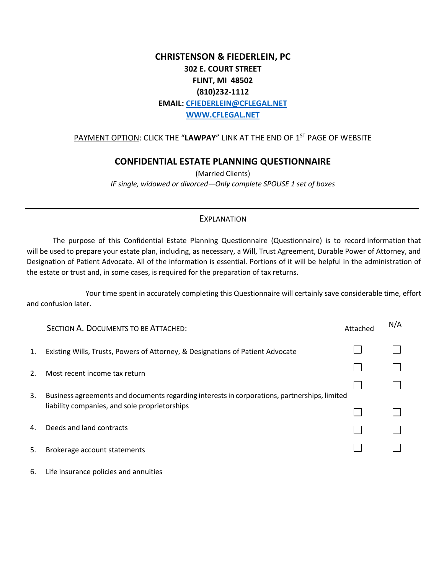## **CHRISTENSON & FIEDERLEIN, PC 302 E. COURT STREET FLINT, MI 48502 (810)232-1112 EMAIL: CFIEDERLEIN@CFLEGAL.NET WWW.CFLEGAL.NET**

## PAYMENT OPTION: CLICK THE "LAWPAY" LINK AT THE END OF 1<sup>ST</sup> PAGE OF WEBSITE

## **CONFIDENTIAL ESTATE PLANNING QUESTIONNAIRE**

(Married Clients) *IF single, widowed or divorced—Only complete SPOUSE 1 set of boxes* 

## **EXPLANATION**

The purpose of this Confidential Estate Planning Questionnaire (Questionnaire) is to record information that will be used to prepare your estate plan, including, as necessary, a Will, Trust Agreement, Durable Power of Attorney, and Designation of Patient Advocate. All of the information is essential. Portions of it will be helpful in the administration of the estate or trust and, in some cases, is required for the preparation of tax returns.

Your time spent in accurately completing this Questionnaire will certainly save considerable time, effort and confusion later.

|    | SECTION A. DOCUMENTS TO BE ATTACHED:                                                         | Attached | N/A |
|----|----------------------------------------------------------------------------------------------|----------|-----|
| 1. | Existing Wills, Trusts, Powers of Attorney, & Designations of Patient Advocate               |          |     |
| 2. | Most recent income tax return                                                                |          |     |
| 3. | Business agreements and documents regarding interests in corporations, partnerships, limited |          |     |
|    | liability companies, and sole proprietorships                                                |          |     |
| 4. | Deeds and land contracts                                                                     |          |     |
| 5. | Brokerage account statements                                                                 |          |     |
| 6. | Life insurance policies and annuities                                                        |          |     |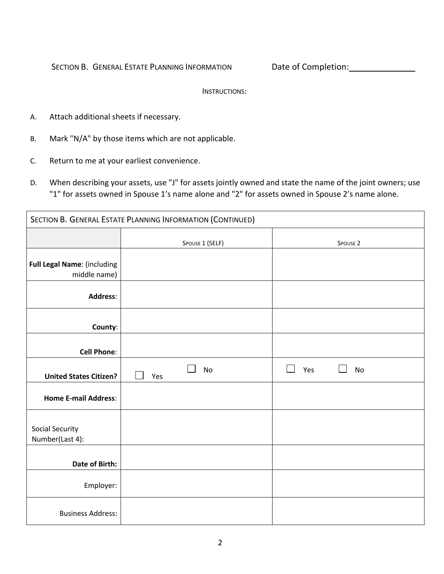SECTION B. GENERAL ESTATE PLANNING INFORMATION Date of Completion:

INSTRUCTIONS:

- A. Attach additional sheets if necessary.
- B. Mark "N/A" by those items which are not applicable.
- C. Return to me at your earliest convenience.
- D. When describing your assets, use "J" for assets jointly owned and state the name of the joint owners; use "1" for assets owned in Spouse 1's name alone and "2" for assets owned in Spouse 2's name alone.

| SECTION B. GENERAL ESTATE PLANNING INFORMATION (CONTINUED) |                  |                     |  |  |  |  |
|------------------------------------------------------------|------------------|---------------------|--|--|--|--|
|                                                            | SPOUSE 1 (SELF)  | SPOUSE <sub>2</sub> |  |  |  |  |
| Full Legal Name: (including<br>middle name)                |                  |                     |  |  |  |  |
| <b>Address:</b>                                            |                  |                     |  |  |  |  |
| County:                                                    |                  |                     |  |  |  |  |
| <b>Cell Phone:</b>                                         |                  |                     |  |  |  |  |
| <b>United States Citizen?</b>                              | <b>No</b><br>Yes | Yes<br><b>No</b>    |  |  |  |  |
| <b>Home E-mail Address:</b>                                |                  |                     |  |  |  |  |
| <b>Social Security</b><br>Number(Last 4):                  |                  |                     |  |  |  |  |
| <b>Date of Birth:</b>                                      |                  |                     |  |  |  |  |
| Employer:                                                  |                  |                     |  |  |  |  |
| <b>Business Address:</b>                                   |                  |                     |  |  |  |  |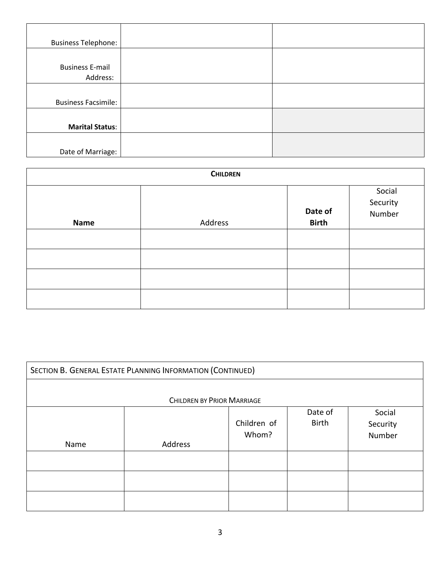| <b>Business Telephone:</b> |  |
|----------------------------|--|
|                            |  |
| <b>Business E-mail</b>     |  |
| Address:                   |  |
|                            |  |
| <b>Business Facsimile:</b> |  |
|                            |  |
| <b>Marital Status:</b>     |  |
|                            |  |
| Date of Marriage:          |  |

| <b>CHILDREN</b> |         |                         |                              |  |  |  |
|-----------------|---------|-------------------------|------------------------------|--|--|--|
| <b>Name</b>     | Address | Date of<br><b>Birth</b> | Social<br>Security<br>Number |  |  |  |
|                 |         |                         |                              |  |  |  |
|                 |         |                         |                              |  |  |  |
|                 |         |                         |                              |  |  |  |
|                 |         |                         |                              |  |  |  |

| SECTION B. GENERAL ESTATE PLANNING INFORMATION (CONTINUED) |                                   |                      |                  |                              |
|------------------------------------------------------------|-----------------------------------|----------------------|------------------|------------------------------|
|                                                            | <b>CHILDREN BY PRIOR MARRIAGE</b> |                      |                  |                              |
| Name                                                       | Address                           | Children of<br>Whom? | Date of<br>Birth | Social<br>Security<br>Number |
|                                                            |                                   |                      |                  |                              |
|                                                            |                                   |                      |                  |                              |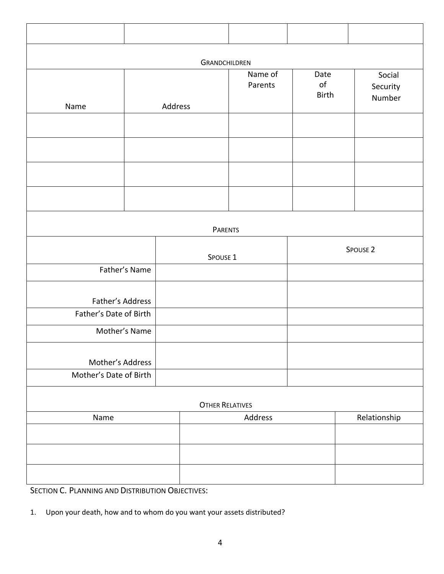| <b>GRANDCHILDREN</b>   |               |                        |                    |                                |                              |  |  |
|------------------------|---------------|------------------------|--------------------|--------------------------------|------------------------------|--|--|
| Name                   |               | Address                | Name of<br>Parents | Date<br>$\mathsf{of}$<br>Birth | Social<br>Security<br>Number |  |  |
|                        |               |                        |                    |                                |                              |  |  |
|                        |               |                        |                    |                                |                              |  |  |
|                        |               |                        |                    |                                |                              |  |  |
|                        |               |                        |                    |                                |                              |  |  |
|                        |               | <b>PARENTS</b>         |                    |                                |                              |  |  |
|                        |               | SPOUSE 1               |                    |                                | SPOUSE <sub>2</sub>          |  |  |
|                        | Father's Name |                        |                    |                                |                              |  |  |
| Father's Address       |               |                        |                    |                                |                              |  |  |
| Father's Date of Birth | Mother's Name |                        |                    |                                |                              |  |  |
|                        |               |                        |                    |                                |                              |  |  |
| Mother's Address       |               |                        |                    |                                |                              |  |  |
| Mother's Date of Birth |               |                        |                    |                                |                              |  |  |
|                        |               | <b>OTHER RELATIVES</b> |                    |                                |                              |  |  |
| Name                   |               |                        | Address            |                                | Relationship                 |  |  |
|                        |               |                        |                    |                                |                              |  |  |
|                        |               |                        |                    |                                |                              |  |  |

SECTION C. PLANNING AND DISTRIBUTION OBJECTIVES:

1. Upon your death, how and to whom do you want your assets distributed?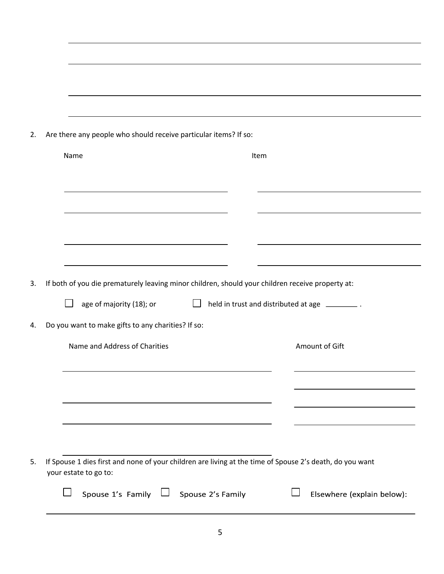| Name |                                                                                                                              | Item                                                 |                |
|------|------------------------------------------------------------------------------------------------------------------------------|------------------------------------------------------|----------------|
|      |                                                                                                                              |                                                      |                |
|      |                                                                                                                              |                                                      |                |
|      |                                                                                                                              |                                                      |                |
|      |                                                                                                                              |                                                      |                |
|      | If both of you die prematurely leaving minor children, should your children receive property at:<br>age of majority (18); or | $\Box$ held in trust and distributed at age $\Box$ . |                |
|      | Do you want to make gifts to any charities? If so:                                                                           |                                                      |                |
|      | Name and Address of Charities                                                                                                |                                                      | Amount of Gift |
|      |                                                                                                                              |                                                      |                |
|      |                                                                                                                              |                                                      |                |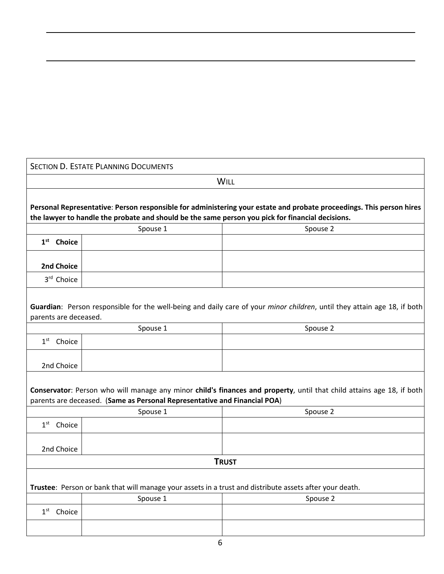|                        | <b>SECTION D. ESTATE PLANNING DOCUMENTS</b>                               |                                                                                                                                                                                                                          |
|------------------------|---------------------------------------------------------------------------|--------------------------------------------------------------------------------------------------------------------------------------------------------------------------------------------------------------------------|
|                        |                                                                           | <b>WILL</b>                                                                                                                                                                                                              |
|                        |                                                                           | Personal Representative: Person responsible for administering your estate and probate proceedings. This person hires<br>the lawyer to handle the probate and should be the same person you pick for financial decisions. |
|                        | Spouse 1                                                                  | Spouse 2                                                                                                                                                                                                                 |
| $1st$ Choice           |                                                                           |                                                                                                                                                                                                                          |
| 2nd Choice             |                                                                           |                                                                                                                                                                                                                          |
| 3rd Choice             |                                                                           |                                                                                                                                                                                                                          |
| parents are deceased.  |                                                                           | Guardian: Person responsible for the well-being and daily care of your <i>minor children</i> , until they attain age 18, if both                                                                                         |
|                        | Spouse 1                                                                  | Spouse 2                                                                                                                                                                                                                 |
| $1st$ Choice           |                                                                           |                                                                                                                                                                                                                          |
| 2nd Choice             |                                                                           |                                                                                                                                                                                                                          |
|                        | parents are deceased. (Same as Personal Representative and Financial POA) | Conservator: Person who will manage any minor child's finances and property, until that child attains age 18, if both                                                                                                    |
|                        | Spouse 1                                                                  | Spouse 2                                                                                                                                                                                                                 |
| 1 <sup>st</sup> Choice |                                                                           |                                                                                                                                                                                                                          |
| 2nd Choice             |                                                                           |                                                                                                                                                                                                                          |
|                        |                                                                           | <b>TRUST</b>                                                                                                                                                                                                             |
|                        |                                                                           | Trustee: Person or bank that will manage your assets in a trust and distribute assets after your death.                                                                                                                  |
|                        | Spouse 1                                                                  | Spouse 2                                                                                                                                                                                                                 |
| $1st$ Choice           |                                                                           |                                                                                                                                                                                                                          |
|                        |                                                                           |                                                                                                                                                                                                                          |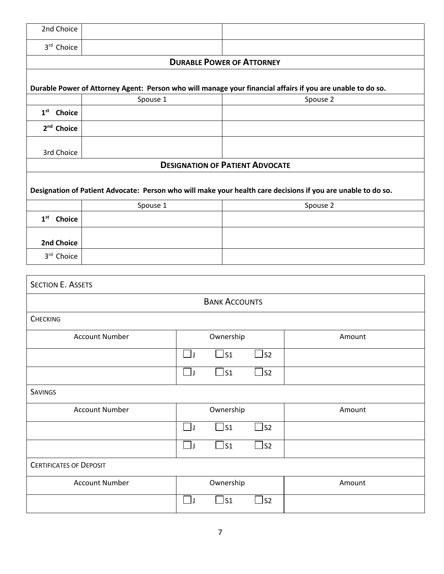| 2nd Choice                     |          |             |                                        |                             |                                                                                                                          |
|--------------------------------|----------|-------------|----------------------------------------|-----------------------------|--------------------------------------------------------------------------------------------------------------------------|
| 3rd Choice                     |          |             |                                        |                             |                                                                                                                          |
|                                |          |             | <b>DURABLE POWER OF ATTORNEY</b>       |                             |                                                                                                                          |
|                                |          |             |                                        |                             |                                                                                                                          |
|                                | Spouse 1 |             |                                        |                             | Durable Power of Attorney Agent: Person who will manage your financial affairs if you are unable to do so.<br>Spouse 2   |
| $1st$ Choice                   |          |             |                                        |                             |                                                                                                                          |
| 2 <sup>nd</sup> Choice         |          |             |                                        |                             |                                                                                                                          |
|                                |          |             |                                        |                             |                                                                                                                          |
| 3rd Choice                     |          |             |                                        |                             |                                                                                                                          |
|                                |          |             | <b>DESIGNATION OF PATIENT ADVOCATE</b> |                             |                                                                                                                          |
|                                |          |             |                                        |                             |                                                                                                                          |
|                                | Spouse 1 |             |                                        |                             | Designation of Patient Advocate: Person who will make your health care decisions if you are unable to do so.<br>Spouse 2 |
| $1st$ Choice                   |          |             |                                        |                             |                                                                                                                          |
|                                |          |             |                                        |                             |                                                                                                                          |
| 2nd Choice                     |          |             |                                        |                             |                                                                                                                          |
| 3rd Choice                     |          |             |                                        |                             |                                                                                                                          |
|                                |          |             |                                        |                             |                                                                                                                          |
| <b>SECTION E. ASSETS</b>       |          |             |                                        |                             |                                                                                                                          |
|                                |          |             | <b>BANK ACCOUNTS</b>                   |                             |                                                                                                                          |
| <b>CHECKING</b>                |          |             |                                        |                             |                                                                                                                          |
| <b>Account Number</b>          |          |             | Ownership                              |                             | Amount                                                                                                                   |
|                                |          | $\perp$     | $\Box$ s1                              | ls2                         |                                                                                                                          |
|                                |          | $\Box$      | $\square$ s1                           | $\Box$ s2                   |                                                                                                                          |
|                                |          |             |                                        |                             |                                                                                                                          |
| <b>SAVINGS</b>                 |          |             |                                        |                             |                                                                                                                          |
| <b>Account Number</b>          |          |             | Ownership                              |                             | Amount                                                                                                                   |
|                                |          | $\Box$ J    | $\Box$ S1                              | $\overline{\phantom{a}}$ S2 |                                                                                                                          |
|                                |          | $\exists$ J | $\Box$ S1                              | ls2                         |                                                                                                                          |
| <b>CERTIFICATES OF DEPOSIT</b> |          |             |                                        |                             |                                                                                                                          |
| <b>Account Number</b>          |          |             | Ownership                              |                             | Amount                                                                                                                   |
|                                |          | $\Box$      | $\Box$ S1                              | $\sqcup$ s2                 |                                                                                                                          |
|                                |          |             |                                        |                             |                                                                                                                          |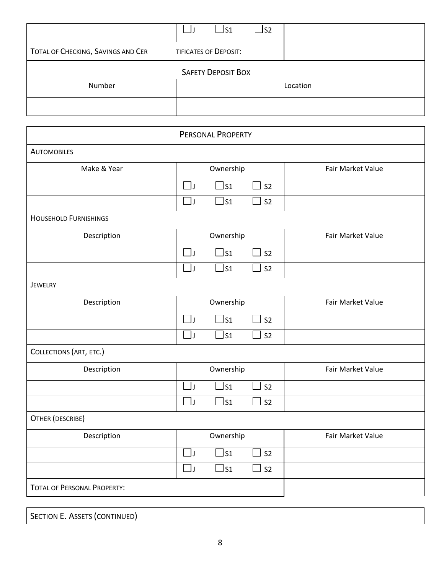|                                    | S1_                          | $\sqcup$ S2 |          |
|------------------------------------|------------------------------|-------------|----------|
| TOTAL OF CHECKING, SAVINGS AND CER | <b>TIFICATES OF DEPOSIT:</b> |             |          |
|                                    | <b>SAFETY DEPOSIT BOX</b>    |             |          |
| Number                             |                              |             | Location |
|                                    |                              |             |          |

|                                    | PERSONAL PROPERTY                                      |                   |
|------------------------------------|--------------------------------------------------------|-------------------|
| <b>AUTOMOBILES</b>                 |                                                        |                   |
| Make & Year                        | Ownership                                              | Fair Market Value |
|                                    | $\exists$ s1<br>S <sub>2</sub><br>$\exists$ J          |                   |
|                                    | $\Box$<br>$\Box$ s1<br>S <sub>2</sub>                  |                   |
| <b>HOUSEHOLD FURNISHINGS</b>       |                                                        |                   |
| Description                        | Ownership                                              | Fair Market Value |
|                                    | $\mathsf{S}1$<br>$\blacksquare$<br>S <sub>2</sub><br>J |                   |
|                                    | $\Box$ s1<br>$\Box$<br>S <sub>2</sub>                  |                   |
| <b>JEWELRY</b>                     |                                                        |                   |
| Description                        | Ownership                                              | Fair Market Value |
|                                    | $\exists$ s1<br>$\Box$<br>S <sub>2</sub><br>×          |                   |
|                                    | $\Box$<br>$\Box$ s1<br>S <sub>2</sub>                  |                   |
| COLLECTIONS (ART, ETC.)            |                                                        |                   |
| Description                        | Ownership                                              | Fair Market Value |
|                                    | ر [_ا<br>$\Box$ s1<br>$\sim$<br>S <sub>2</sub>         |                   |
|                                    | $\Box$<br>$\Box$ s1<br>S <sub>2</sub><br>ri            |                   |
| OTHER (DESCRIBE)                   |                                                        |                   |
| Description                        | Ownership                                              | Fair Market Value |
|                                    | $\Box$ J<br>$\exists$ s1<br>i<br>S <sub>2</sub>        |                   |
|                                    | $\Box$ J<br>$\Box$ S1<br>S <sub>2</sub><br>×           |                   |
| <b>TOTAL OF PERSONAL PROPERTY:</b> |                                                        |                   |
|                                    |                                                        |                   |

| SECTION E. ASSETS (CONTINUED) |  |  |
|-------------------------------|--|--|
|-------------------------------|--|--|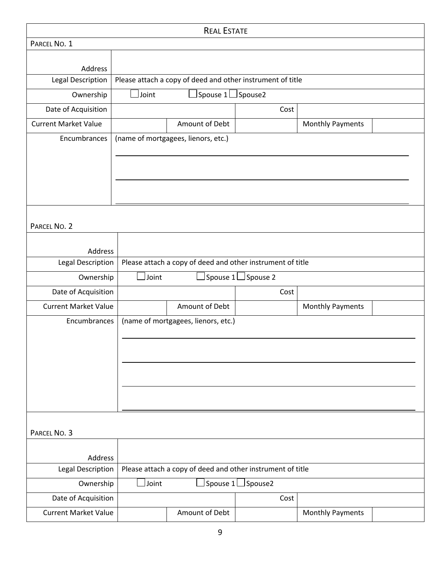| <b>REAL ESTATE</b>          |       |                                                            |                          |                         |  |
|-----------------------------|-------|------------------------------------------------------------|--------------------------|-------------------------|--|
| PARCEL NO. 1                |       |                                                            |                          |                         |  |
|                             |       |                                                            |                          |                         |  |
| Address                     |       |                                                            |                          |                         |  |
| Legal Description           |       | Please attach a copy of deed and other instrument of title |                          |                         |  |
| Ownership                   | Joint | Spouse 1                                                   | Spouse2                  |                         |  |
| Date of Acquisition         |       |                                                            | Cost                     |                         |  |
| <b>Current Market Value</b> |       | Amount of Debt                                             |                          | <b>Monthly Payments</b> |  |
| Encumbrances                |       | (name of mortgagees, lienors, etc.)                        |                          |                         |  |
|                             |       |                                                            |                          |                         |  |
|                             |       |                                                            |                          |                         |  |
|                             |       |                                                            |                          |                         |  |
|                             |       |                                                            |                          |                         |  |
|                             |       |                                                            |                          |                         |  |
| PARCEL NO. 2                |       |                                                            |                          |                         |  |
|                             |       |                                                            |                          |                         |  |
| Address                     |       |                                                            |                          |                         |  |
| Legal Description           |       | Please attach a copy of deed and other instrument of title |                          |                         |  |
| Ownership                   | Joint | Spouse 1                                                   | Spouse 2                 |                         |  |
| Date of Acquisition         |       |                                                            | Cost                     |                         |  |
| <b>Current Market Value</b> |       | Amount of Debt                                             | <b>Monthly Payments</b>  |                         |  |
| Encumbrances                |       | (name of mortgagees, lienors, etc.)                        |                          |                         |  |
|                             |       |                                                            |                          |                         |  |
|                             |       |                                                            |                          |                         |  |
|                             |       |                                                            |                          |                         |  |
|                             |       |                                                            |                          |                         |  |
|                             |       |                                                            |                          |                         |  |
|                             |       |                                                            |                          |                         |  |
|                             |       |                                                            |                          |                         |  |
| PARCEL NO. 3                |       |                                                            |                          |                         |  |
|                             |       |                                                            |                          |                         |  |
| Address                     |       |                                                            |                          |                         |  |
| Legal Description           |       | Please attach a copy of deed and other instrument of title |                          |                         |  |
| Ownership                   | Joint |                                                            | Spouse 1 $\Box$ Spouse 2 |                         |  |
| Date of Acquisition         |       |                                                            | Cost                     |                         |  |
| <b>Current Market Value</b> |       | Amount of Debt                                             |                          | <b>Monthly Payments</b> |  |
|                             |       |                                                            |                          |                         |  |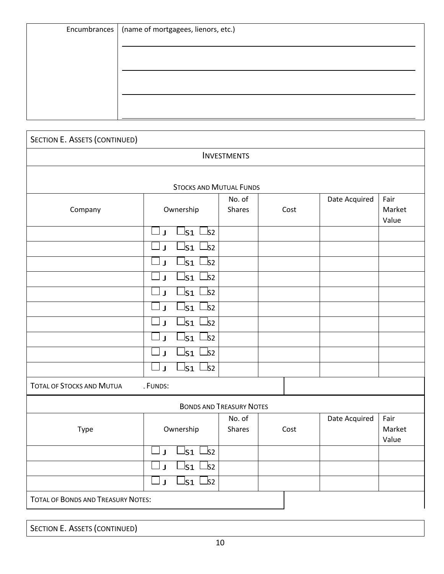| Encumbrances   (name of mortgagees, lienors, etc.) |
|----------------------------------------------------|
|                                                    |
|                                                    |
|                                                    |
|                                                    |
|                                                    |
|                                                    |

| <b>SECTION E. ASSETS (CONTINUED)</b>         |                                                                                                                           |                         |      |               |                         |
|----------------------------------------------|---------------------------------------------------------------------------------------------------------------------------|-------------------------|------|---------------|-------------------------|
|                                              |                                                                                                                           | <b>INVESTMENTS</b>      |      |               |                         |
|                                              | <b>STOCKS AND MUTUAL FUNDS</b>                                                                                            |                         |      |               |                         |
| Company                                      | Ownership                                                                                                                 | No. of<br>Shares        | Cost | Date Acquired | Fair<br>Market<br>Value |
|                                              | $\mathsf{ls}_1 \sqcup \mathsf{s}_2$<br>$\mathbf{J}$<br>ls1<br>_ls2                                                        |                         |      |               |                         |
|                                              | $\mathbf{I}$<br>ls1<br>$\sqcup$ s2<br>$\mathbf{J}$                                                                        |                         |      |               |                         |
|                                              | $\mathsf{ls}_1 \mathrel{\sqcup} \mathsf{s}_2$<br>IJ                                                                       |                         |      |               |                         |
|                                              | $\mathsf{I}_{\mathsf{S1}}$<br>$\sqcup$ s2<br>$\mathbf{J}$<br>ls1<br>$\sqcup$ s2<br>J                                      |                         |      |               |                         |
|                                              | $\mathsf{ls}_1$<br>$\mathsf{\underline{\perp}}$ s2<br>$\mathbf{J}$                                                        |                         |      |               |                         |
|                                              | $\mathsf{I}_{\mathsf{S1}}$<br>$\sqcup$ s2<br>$\mathbf{J}$                                                                 |                         |      |               |                         |
|                                              | $\mathsf{ls}_1$<br>$\mathsf{\underline{\hspace{1pt}52}}$<br>$\mathbf{J}$<br>$\mathsf{ls}_1 \sqcup \mathsf{s}_2$<br>ل ا    |                         |      |               |                         |
| <b>TOTAL OF STOCKS AND MUTUA</b><br>. FUNDS: |                                                                                                                           |                         |      |               |                         |
| <b>BONDS AND TREASURY NOTES</b>              |                                                                                                                           |                         |      |               |                         |
| Type                                         | Ownership                                                                                                                 | No. of<br><b>Shares</b> | Cost | Date Acquired | Fair<br>Market<br>Value |
|                                              | Js1 ∟s2<br>IJ                                                                                                             |                         |      |               |                         |
|                                              | $\mathsf{ls}_1 \sqcup \mathsf{s}_2$<br>ر ل<br>$\mathsf{l}_{\mathsf{S1}}\mathrel{\sqsubset}\mathsf{s}_{\mathsf{2}}$<br>_ J |                         |      |               |                         |
| <b>TOTAL OF BONDS AND TREASURY NOTES:</b>    |                                                                                                                           |                         |      |               |                         |

SECTION E. ASSETS (CONTINUED)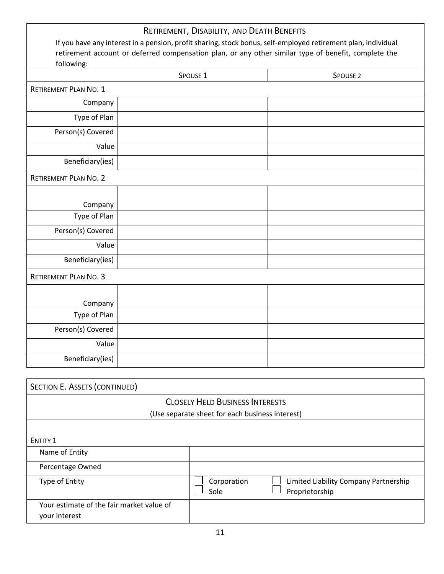|                              | RETIREMENT, DISABILITY, AND DEATH BENEFITS                                                                    |                     |
|------------------------------|---------------------------------------------------------------------------------------------------------------|---------------------|
|                              | If you have any interest in a pension, profit sharing, stock bonus, self-employed retirement plan, individual |                     |
|                              | retirement account or deferred compensation plan, or any other similar type of benefit, complete the          |                     |
| following:                   |                                                                                                               |                     |
|                              | SPOUSE <sub>1</sub>                                                                                           | SPOUSE <sub>2</sub> |
| <b>RETIREMENT PLAN NO. 1</b> |                                                                                                               |                     |
| Company                      |                                                                                                               |                     |
| Type of Plan                 |                                                                                                               |                     |
| Person(s) Covered            |                                                                                                               |                     |
| Value                        |                                                                                                               |                     |
| Beneficiary(ies)             |                                                                                                               |                     |
| <b>RETIREMENT PLAN NO. 2</b> |                                                                                                               |                     |
|                              |                                                                                                               |                     |
| Company                      |                                                                                                               |                     |
| Type of Plan                 |                                                                                                               |                     |
| Person(s) Covered            |                                                                                                               |                     |
| Value                        |                                                                                                               |                     |
| Beneficiary(ies)             |                                                                                                               |                     |
| <b>RETIREMENT PLAN NO. 3</b> |                                                                                                               |                     |
|                              |                                                                                                               |                     |
| Company                      |                                                                                                               |                     |
| Type of Plan                 |                                                                                                               |                     |
| Person(s) Covered            |                                                                                                               |                     |
| Value                        |                                                                                                               |                     |
| Beneficiary(ies)             |                                                                                                               |                     |

| SECTION E. ASSETS (CONTINUED)                                                             |                                                                                |  |  |  |
|-------------------------------------------------------------------------------------------|--------------------------------------------------------------------------------|--|--|--|
| <b>CLOSELY HELD BUSINESS INTERESTS</b><br>(Use separate sheet for each business interest) |                                                                                |  |  |  |
|                                                                                           |                                                                                |  |  |  |
| <b>ENTITY 1</b>                                                                           |                                                                                |  |  |  |
| Name of Entity                                                                            |                                                                                |  |  |  |
| Percentage Owned                                                                          |                                                                                |  |  |  |
| Type of Entity                                                                            | Limited Liability Company Partnership<br>Corporation<br>Sole<br>Proprietorship |  |  |  |
| Your estimate of the fair market value of<br>your interest                                |                                                                                |  |  |  |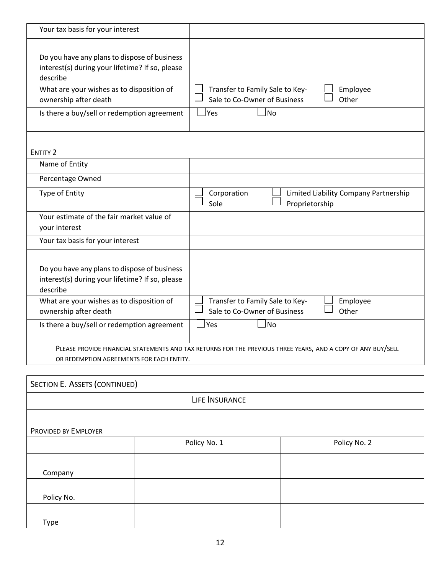| Your tax basis for your interest                                                                             |                                                                                      |  |  |
|--------------------------------------------------------------------------------------------------------------|--------------------------------------------------------------------------------------|--|--|
| Do you have any plans to dispose of business<br>interest(s) during your lifetime? If so, please<br>describe  |                                                                                      |  |  |
| What are your wishes as to disposition of<br>ownership after death                                           | Transfer to Family Sale to Key-<br>Employee<br>Sale to Co-Owner of Business<br>Other |  |  |
| Is there a buy/sell or redemption agreement                                                                  | Yes<br>l No                                                                          |  |  |
| <b>ENTITY 2</b>                                                                                              |                                                                                      |  |  |
| Name of Entity                                                                                               |                                                                                      |  |  |
| Percentage Owned                                                                                             |                                                                                      |  |  |
| Type of Entity                                                                                               | Corporation<br>Limited Liability Company Partnership<br>Sole<br>Proprietorship       |  |  |
| Your estimate of the fair market value of<br>your interest                                                   |                                                                                      |  |  |
| Your tax basis for your interest                                                                             |                                                                                      |  |  |
| Do you have any plans to dispose of business<br>interest(s) during your lifetime? If so, please<br>describe  |                                                                                      |  |  |
| What are your wishes as to disposition of<br>ownership after death                                           | Transfer to Family Sale to Key-<br>Employee<br>Sale to Co-Owner of Business<br>Other |  |  |
| Is there a buy/sell or redemption agreement                                                                  | <u> </u> Yes<br><b>No</b>                                                            |  |  |
| PLEASE PROVIDE FINANCIAL STATEMENTS AND TAX RETURNS FOR THE PREVIOUS THREE YEARS, AND A COPY OF ANY BUY/SELL |                                                                                      |  |  |
| OR REDEMPTION AGREEMENTS FOR EACH ENTITY.                                                                    |                                                                                      |  |  |
|                                                                                                              |                                                                                      |  |  |
| SECTION E. ASSETS (CONTINUED)                                                                                |                                                                                      |  |  |
|                                                                                                              | LIFE INSURANCE                                                                       |  |  |
|                                                                                                              |                                                                                      |  |  |

PROVIDED BY EMPLOYER

|            | Policy No. 1 | Policy No. 2 |
|------------|--------------|--------------|
|            |              |              |
| Company    |              |              |
|            |              |              |
| Policy No. |              |              |
|            |              |              |
| Type       |              |              |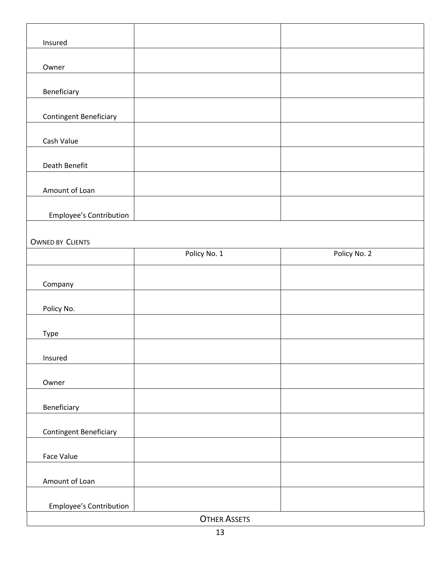| Insured                        |                     |              |
|--------------------------------|---------------------|--------------|
|                                |                     |              |
| Owner                          |                     |              |
|                                |                     |              |
| Beneficiary                    |                     |              |
|                                |                     |              |
| <b>Contingent Beneficiary</b>  |                     |              |
| Cash Value                     |                     |              |
|                                |                     |              |
| Death Benefit                  |                     |              |
|                                |                     |              |
| Amount of Loan                 |                     |              |
|                                |                     |              |
| <b>Employee's Contribution</b> |                     |              |
|                                |                     |              |
| <b>OWNED BY CLIENTS</b>        | Policy No. 1        | Policy No. 2 |
|                                |                     |              |
|                                |                     |              |
| Company                        |                     |              |
| Policy No.                     |                     |              |
|                                |                     |              |
| Type                           |                     |              |
|                                |                     |              |
| Insured                        |                     |              |
|                                |                     |              |
| Owner                          |                     |              |
| Beneficiary                    |                     |              |
|                                |                     |              |
| <b>Contingent Beneficiary</b>  |                     |              |
|                                |                     |              |
| Face Value                     |                     |              |
|                                |                     |              |
| Amount of Loan                 |                     |              |
| Employee's Contribution        |                     |              |
|                                | <b>OTHER ASSETS</b> |              |
|                                |                     |              |